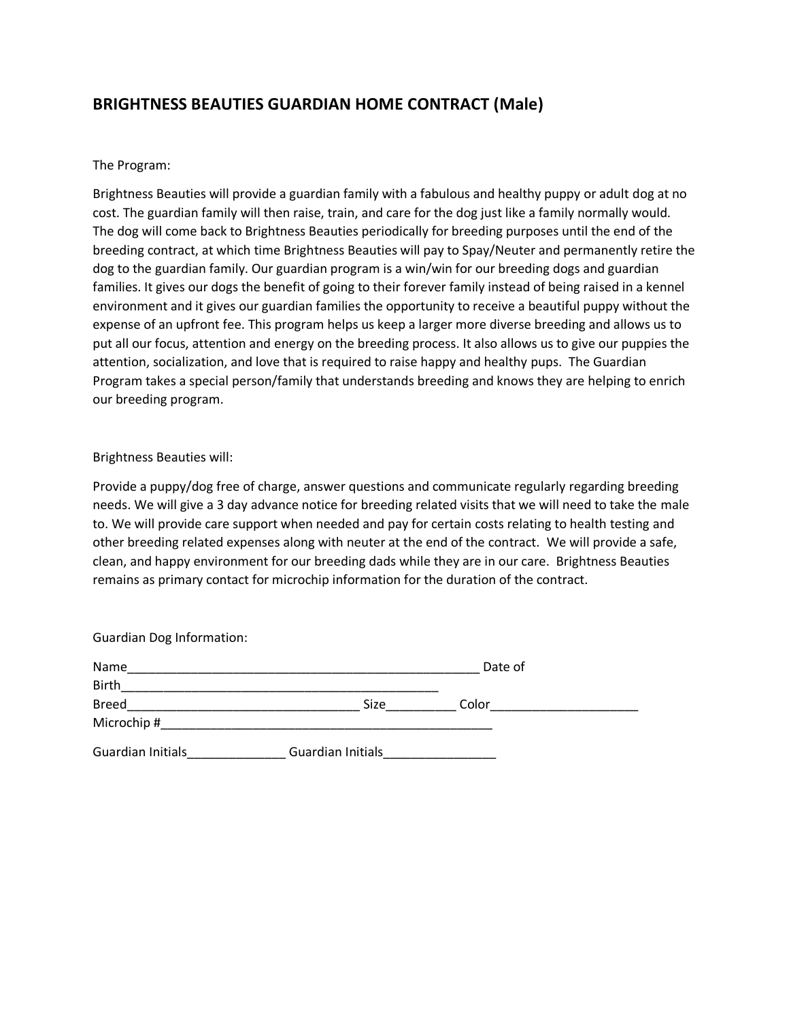# **BRIGHTNESS BEAUTIES GUARDIAN HOME CONTRACT (Male)**

## The Program:

Brightness Beauties will provide a guardian family with a fabulous and healthy puppy or adult dog at no cost. The guardian family will then raise, train, and care for the dog just like a family normally would. The dog will come back to Brightness Beauties periodically for breeding purposes until the end of the breeding contract, at which time Brightness Beauties will pay to Spay/Neuter and permanently retire the dog to the guardian family. Our guardian program is a win/win for our breeding dogs and guardian families. It gives our dogs the benefit of going to their forever family instead of being raised in a kennel environment and it gives our guardian families the opportunity to receive a beautiful puppy without the expense of an upfront fee. This program helps us keep a larger more diverse breeding and allows us to put all our focus, attention and energy on the breeding process. It also allows us to give our puppies the attention, socialization, and love that is required to raise happy and healthy pups. The Guardian Program takes a special person/family that understands breeding and knows they are helping to enrich our breeding program.

### Brightness Beauties will:

Provide a puppy/dog free of charge, answer questions and communicate regularly regarding breeding needs. We will give a 3 day advance notice for breeding related visits that we will need to take the male to. We will provide care support when needed and pay for certain costs relating to health testing and other breeding related expenses along with neuter at the end of the contract. We will provide a safe, clean, and happy environment for our breeding dads while they are in our care. Brightness Beauties remains as primary contact for microchip information for the duration of the contract.

| <b>Guardian Dog Information:</b> |                   |         |  |
|----------------------------------|-------------------|---------|--|
| Name                             |                   | Date of |  |
| <b>Birth</b>                     |                   |         |  |
| <b>Breed</b>                     | Size              | Color   |  |
| Microchip #                      |                   |         |  |
| Guardian Initials                | Guardian Initials |         |  |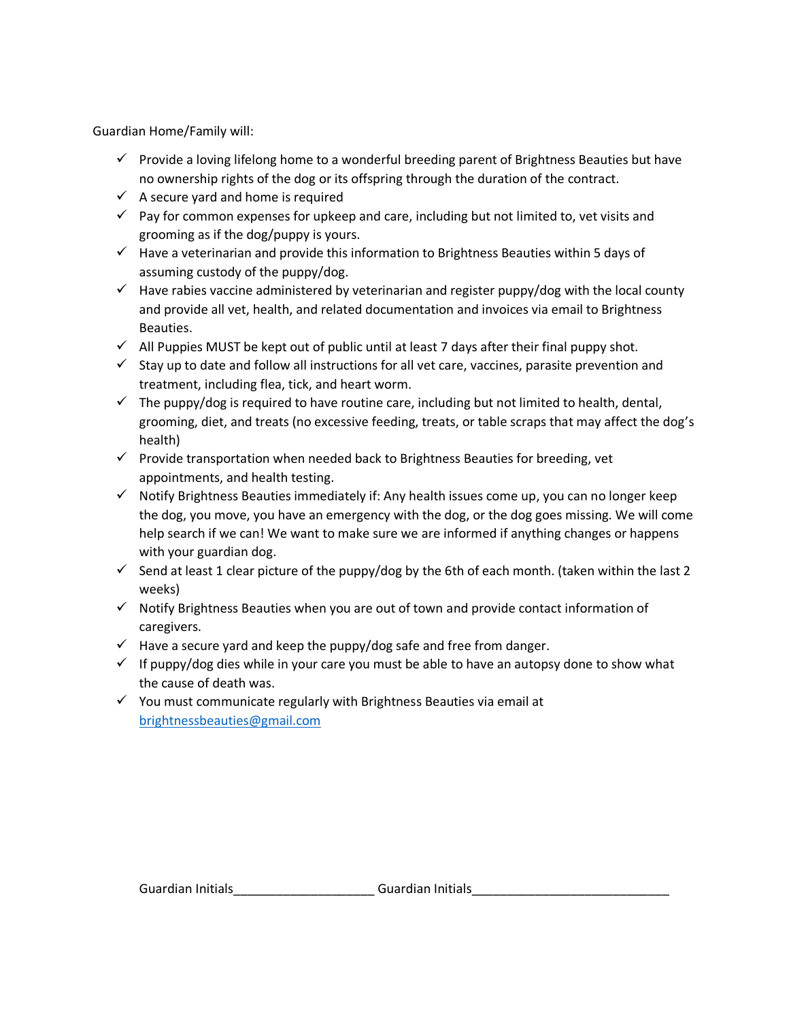Guardian Home/Family will:

- $\checkmark$  Provide a loving lifelong home to a wonderful breeding parent of Brightness Beauties but have no ownership rights of the dog or its offspring through the duration of the contract.
- $\checkmark$  A secure yard and home is required
- $\checkmark$  Pay for common expenses for upkeep and care, including but not limited to, vet visits and grooming as if the dog/puppy is yours.
- $\checkmark$  Have a veterinarian and provide this information to Brightness Beauties within 5 days of assuming custody of the puppy/dog.
- $\checkmark$  Have rabies vaccine administered by veterinarian and register puppy/dog with the local county and provide all vet, health, and related documentation and invoices via email to Brightness Beauties.
- $\checkmark$  All Puppies MUST be kept out of public until at least 7 days after their final puppy shot.
- ✓ Stay up to date and follow all instructions for all vet care, vaccines, parasite prevention and treatment, including flea, tick, and heart worm.
- $\checkmark$  The puppy/dog is required to have routine care, including but not limited to health, dental, grooming, diet, and treats (no excessive feeding, treats, or table scraps that may affect the dog's health)
- $\checkmark$  Provide transportation when needed back to Brightness Beauties for breeding, vet appointments, and health testing.
- ✓ Notify Brightness Beauties immediately if: Any health issues come up, you can no longer keep the dog, you move, you have an emergency with the dog, or the dog goes missing. We will come help search if we can! We want to make sure we are informed if anything changes or happens with your guardian dog.
- $\checkmark$  Send at least 1 clear picture of the puppy/dog by the 6th of each month. (taken within the last 2 weeks)
- $\checkmark$  Notify Brightness Beauties when you are out of town and provide contact information of caregivers.
- $\checkmark$  Have a secure yard and keep the puppy/dog safe and free from danger.
- $\checkmark$  If puppy/dog dies while in your care you must be able to have an autopsy done to show what the cause of death was.
- $\checkmark$  You must communicate regularly with Brightness Beauties via email at [brightnessbeauties@gmail.com](mailto:brightnessbeauties@gmail.com)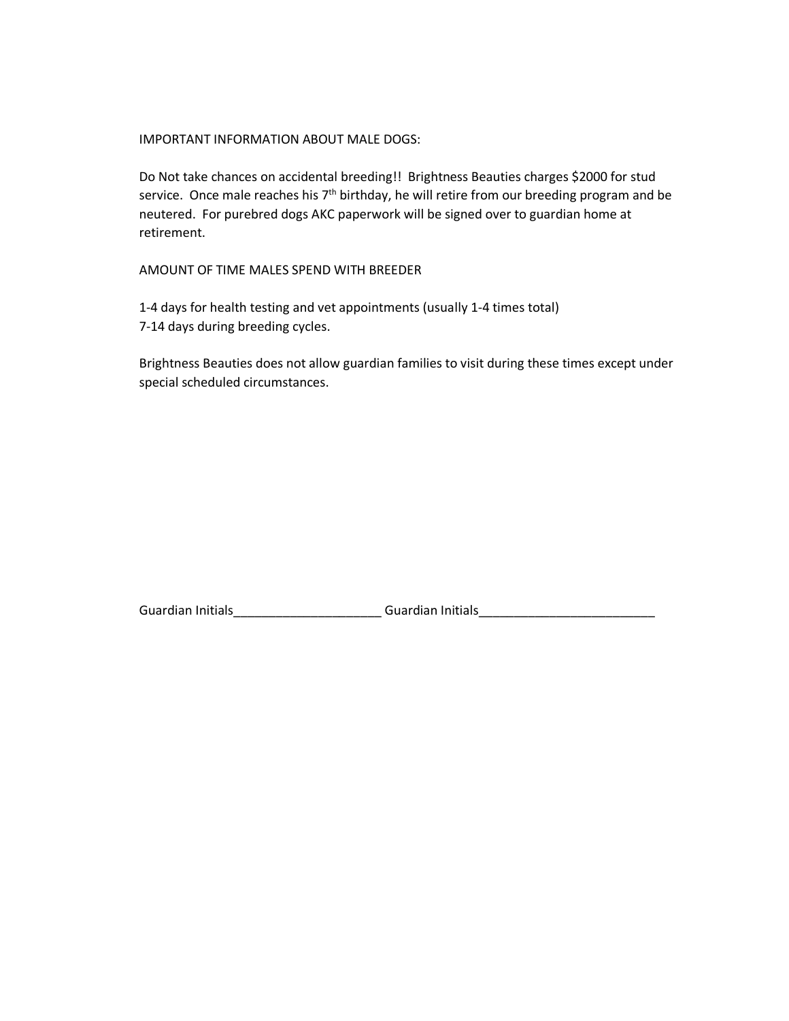### IMPORTANT INFORMATION ABOUT MALE DOGS:

Do Not take chances on accidental breeding!! Brightness Beauties charges \$2000 for stud service. Once male reaches his 7<sup>th</sup> birthday, he will retire from our breeding program and be neutered. For purebred dogs AKC paperwork will be signed over to guardian home at retirement.

## AMOUNT OF TIME MALES SPEND WITH BREEDER

1-4 days for health testing and vet appointments (usually 1-4 times total) 7-14 days during breeding cycles.

Brightness Beauties does not allow guardian families to visit during these times except under special scheduled circumstances.

Guardian Initials\_\_\_\_\_\_\_\_\_\_\_\_\_\_\_\_\_\_\_\_\_\_\_\_\_\_\_Guardian Initials\_\_\_\_\_\_\_\_\_\_\_\_\_\_\_\_\_\_\_